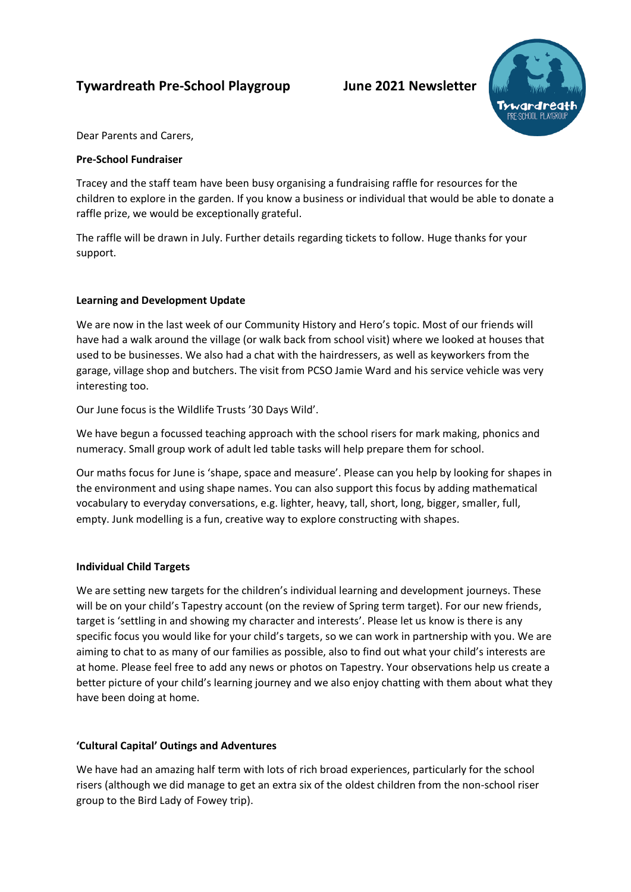# **Tywardreath Pre-School Playgroup June 2021 Newsletter**



Dear Parents and Carers,

# **Pre-School Fundraiser**

Tracey and the staff team have been busy organising a fundraising raffle for resources for the children to explore in the garden. If you know a business or individual that would be able to donate a raffle prize, we would be exceptionally grateful.

The raffle will be drawn in July. Further details regarding tickets to follow. Huge thanks for your support.

# **Learning and Development Update**

We are now in the last week of our Community History and Hero's topic. Most of our friends will have had a walk around the village (or walk back from school visit) where we looked at houses that used to be businesses. We also had a chat with the hairdressers, as well as keyworkers from the garage, village shop and butchers. The visit from PCSO Jamie Ward and his service vehicle was very interesting too.

Our June focus is the Wildlife Trusts '30 Days Wild'.

We have begun a focussed teaching approach with the school risers for mark making, phonics and numeracy. Small group work of adult led table tasks will help prepare them for school.

Our maths focus for June is 'shape, space and measure'. Please can you help by looking for shapes in the environment and using shape names. You can also support this focus by adding mathematical vocabulary to everyday conversations, e.g. lighter, heavy, tall, short, long, bigger, smaller, full, empty. Junk modelling is a fun, creative way to explore constructing with shapes.

# **Individual Child Targets**

We are setting new targets for the children's individual learning and development journeys. These will be on your child's Tapestry account (on the review of Spring term target). For our new friends, target is 'settling in and showing my character and interests'. Please let us know is there is any specific focus you would like for your child's targets, so we can work in partnership with you. We are aiming to chat to as many of our families as possible, also to find out what your child's interests are at home. Please feel free to add any news or photos on Tapestry. Your observations help us create a better picture of your child's learning journey and we also enjoy chatting with them about what they have been doing at home.

# **'Cultural Capital' Outings and Adventures**

We have had an amazing half term with lots of rich broad experiences, particularly for the school risers (although we did manage to get an extra six of the oldest children from the non-school riser group to the Bird Lady of Fowey trip).